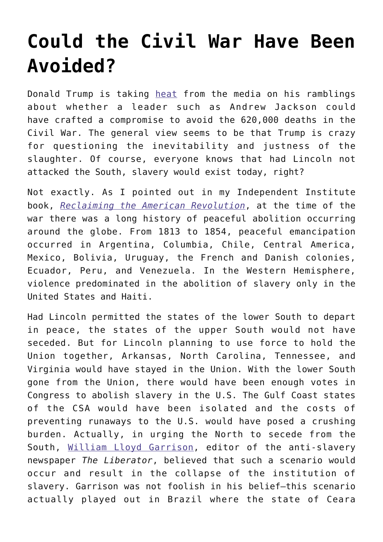## **[Could the Civil War Have Been](https://intellectualtakeout.org/2017/05/could-the-civil-war-have-been-avoided/) [Avoided?](https://intellectualtakeout.org/2017/05/could-the-civil-war-have-been-avoided/)**

Donald Trump is taking [heat](http://www.salon.com/2017/05/01/donald-trump-thinks-andrew-jackson-could-have-avoided-the-civil-war-words-cannot-capture-how-ignorant-and-offensive-that-is/) from the media on his ramblings about whether a leader such as Andrew Jackson could have crafted a compromise to avoid the 620,000 deaths in the Civil War. The general view seems to be that Trump is crazy for questioning the inevitability and justness of the slaughter. Of course, everyone knows that had Lincoln not attacked the South, slavery would exist today, right?

Not exactly. As I pointed out in my Independent Institute book, *[Reclaiming the American Revolution](http://www.independent.org/publications/books/summary.asp?id=18)*, at the time of the war there was a long history of peaceful abolition occurring around the globe. From 1813 to 1854, peaceful emancipation occurred in Argentina, Columbia, Chile, Central America, Mexico, Bolivia, Uruguay, the French and Danish colonies, Ecuador, Peru, and Venezuela. In the Western Hemisphere, violence predominated in the abolition of slavery only in the United States and Haiti.

Had Lincoln permitted the states of the lower South to depart in peace, the states of the upper South would not have seceded. But for Lincoln planning to use force to hold the Union together, Arkansas, North Carolina, Tennessee, and Virginia would have stayed in the Union. With the lower South gone from the Union, there would have been enough votes in Congress to abolish slavery in the U.S. The Gulf Coast states of the CSA would have been isolated and the costs of preventing runaways to the U.S. would have posed a crushing burden. Actually, in urging the North to secede from the South, [William Lloyd Garrison](http://www.ushistory.org/us/28a.asp), editor of the anti-slavery newspaper *The Liberator*, believed that such a scenario would occur and result in the collapse of the institution of slavery. Garrison was not foolish in his belief—this scenario actually played out in Brazil where the state of Ceara